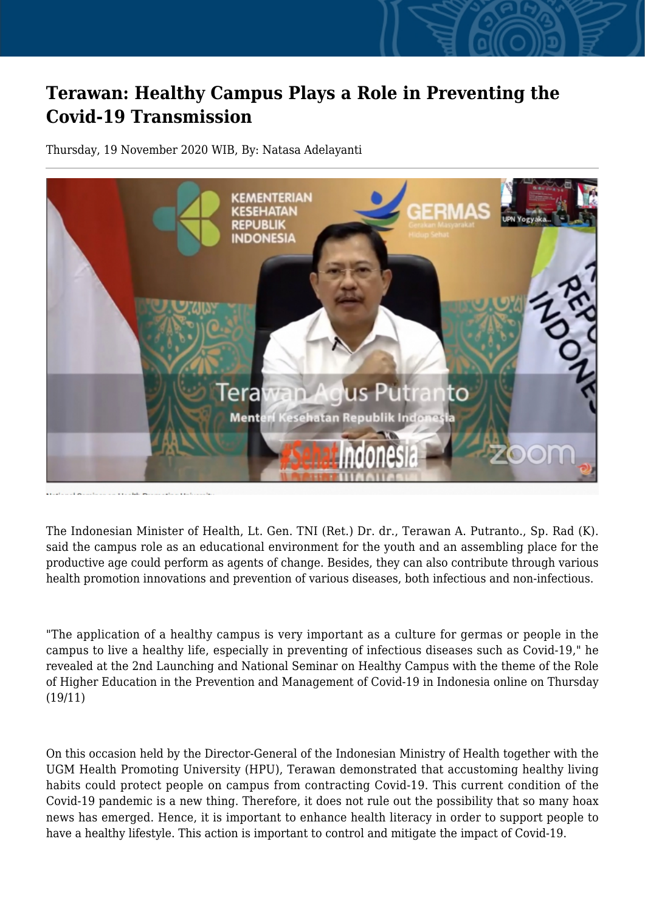## **Terawan: Healthy Campus Plays a Role in Preventing the Covid-19 Transmission**

Thursday, 19 November 2020 WIB, By: Natasa Adelayanti



The Indonesian Minister of Health, Lt. Gen. TNI (Ret.) Dr. dr., Terawan A. Putranto., Sp. Rad (K). said the campus role as an educational environment for the youth and an assembling place for the productive age could perform as agents of change. Besides, they can also contribute through various health promotion innovations and prevention of various diseases, both infectious and non-infectious.

"The application of a healthy campus is very important as a culture for germas or people in the campus to live a healthy life, especially in preventing of infectious diseases such as Covid-19," he revealed at the 2nd Launching and National Seminar on Healthy Campus with the theme of the Role of Higher Education in the Prevention and Management of Covid-19 in Indonesia online on Thursday (19/11)

On this occasion held by the Director-General of the Indonesian Ministry of Health together with the UGM Health Promoting University (HPU), Terawan demonstrated that accustoming healthy living habits could protect people on campus from contracting Covid-19. This current condition of the Covid-19 pandemic is a new thing. Therefore, it does not rule out the possibility that so many hoax news has emerged. Hence, it is important to enhance health literacy in order to support people to have a healthy lifestyle. This action is important to control and mitigate the impact of Covid-19.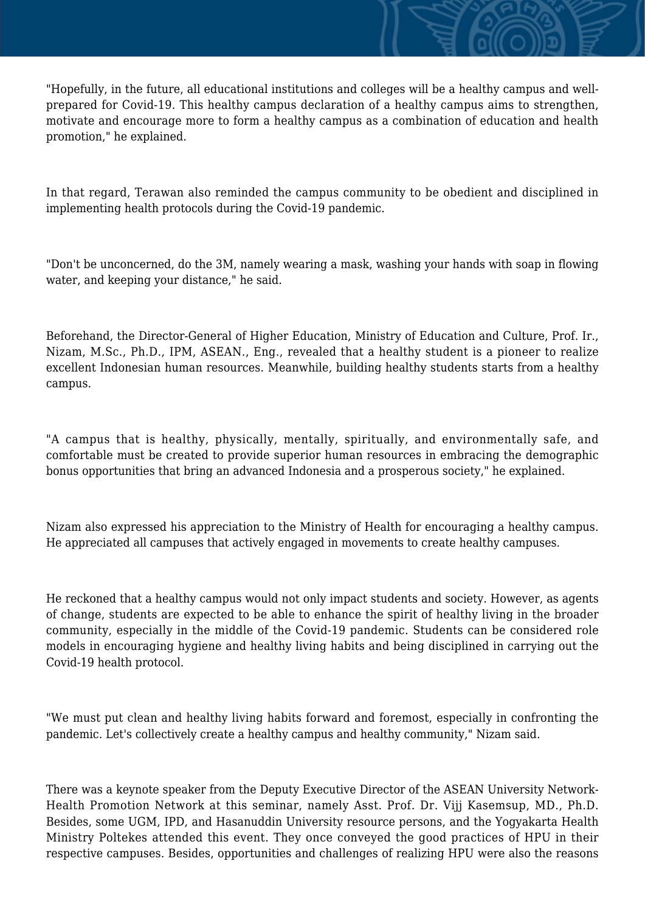"Hopefully, in the future, all educational institutions and colleges will be a healthy campus and wellprepared for Covid-19. This healthy campus declaration of a healthy campus aims to strengthen, motivate and encourage more to form a healthy campus as a combination of education and health promotion," he explained.

In that regard, Terawan also reminded the campus community to be obedient and disciplined in implementing health protocols during the Covid-19 pandemic.

"Don't be unconcerned, do the 3M, namely wearing a mask, washing your hands with soap in flowing water, and keeping your distance," he said.

Beforehand, the Director-General of Higher Education, Ministry of Education and Culture, Prof. Ir., Nizam, M.Sc., Ph.D., IPM, ASEAN., Eng., revealed that a healthy student is a pioneer to realize excellent Indonesian human resources. Meanwhile, building healthy students starts from a healthy campus.

"A campus that is healthy, physically, mentally, spiritually, and environmentally safe, and comfortable must be created to provide superior human resources in embracing the demographic bonus opportunities that bring an advanced Indonesia and a prosperous society," he explained.

Nizam also expressed his appreciation to the Ministry of Health for encouraging a healthy campus. He appreciated all campuses that actively engaged in movements to create healthy campuses.

He reckoned that a healthy campus would not only impact students and society. However, as agents of change, students are expected to be able to enhance the spirit of healthy living in the broader community, especially in the middle of the Covid-19 pandemic. Students can be considered role models in encouraging hygiene and healthy living habits and being disciplined in carrying out the Covid-19 health protocol.

"We must put clean and healthy living habits forward and foremost, especially in confronting the pandemic. Let's collectively create a healthy campus and healthy community," Nizam said.

There was a keynote speaker from the Deputy Executive Director of the ASEAN University Network-Health Promotion Network at this seminar, namely Asst. Prof. Dr. Vijj Kasemsup, MD., Ph.D. Besides, some UGM, IPD, and Hasanuddin University resource persons, and the Yogyakarta Health Ministry Poltekes attended this event. They once conveyed the good practices of HPU in their respective campuses. Besides, opportunities and challenges of realizing HPU were also the reasons